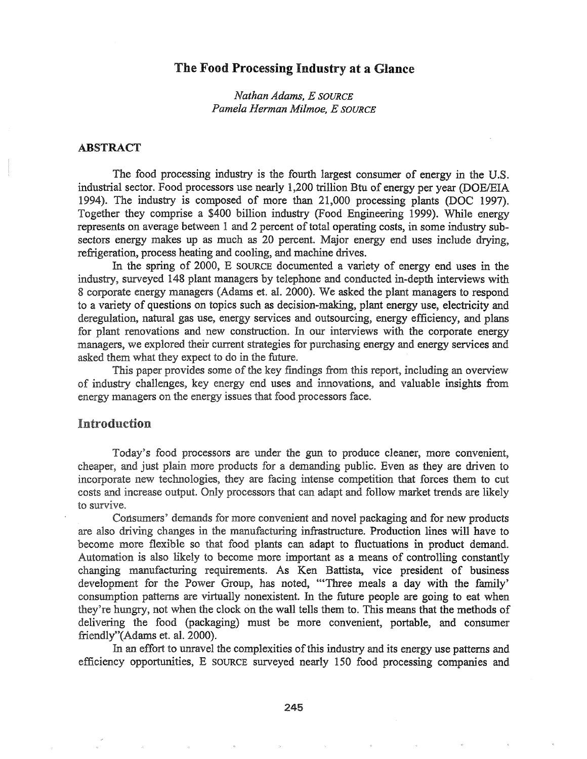## The Food Processing Industry at a Glance

*Nathan Adams, E SOURCE Pamela Herman Milmoe, E SOURCE*

## ABSTRACT

The food processing industry is the fourth largest consumer of energy in the U.S. industrial sector. Food processors use nearly 1,200 trillion Btu of energy per year (DOE/EIA 1994). The industry is composed of more than 21,000 processing plants (DOC 1997). Together they comprise a \$400 billion industry (Food Engineering 1999). While energy represents on average between 1 and 2 percent of total operating costs, in some industry subsectors energy makes up as much as 20 percent. Major energy end uses include drying, refrigeration, process heating and cooling, and machine drives.

In the spring of  $2000$ , E SOURCE documented a variety of energy end uses in the industry, surveyed 148 plant managers by telephone and conducted in-depth interviews with 8 corporate energy managers (Adams et. al. 2000). We asked the plant managers to respond to a variety of questions on topics such as decision-making, plant energy use, electricity and deregulation, natural gas use, energy services and outsourcing, energy efficiency, and plans for plant renovations and new construction. In our interviews with the corporate energy managers, we explored their current strategies for purchasing energy and energy services and asked them what they expect to do in the future.

paper provides some of the key findings from this report, including an overview challenges, key energy end uses and innovations, and valuable insights energy managers on the energy issues that food processors face.

### Introduction

Today's food processors are under the gun to produce cleaner, more convenient, cheaper, and just plain more products for a demanding public. Even as they are driven to incorporate new technologies, they are facing intense competition that forces them to cut costs and increase output. Only processors that can adapt and follow market trends are likely to survive.

Consumers' demands for more convenient and novel packaging and for new products are also driving changes in the manufacturing infrastructure. Production lines will have to become more flexible so that food plants can adapt to fluctuations in product demand. Automation is also likely to become more important as a means of controlling constantly changing manufacturing requirements. As Ken Battista, vice president of business development for the Power Group, has noted, "'Three meals a day with the family' consumption patterns are virtually nonexistent. In the future people are going to eat when they're hungry, not when the clock on the wall tells them to. This means that the methods of delivering the food (packaging) must be more convenient, portable, and consumer friendly" $(Adams et. al. 2000)$ .

In an effort to unravel the complexities of this industry and its energy use patterns and efficiency opportunities, E SOURCE surveyed nearly 150 food processing companies and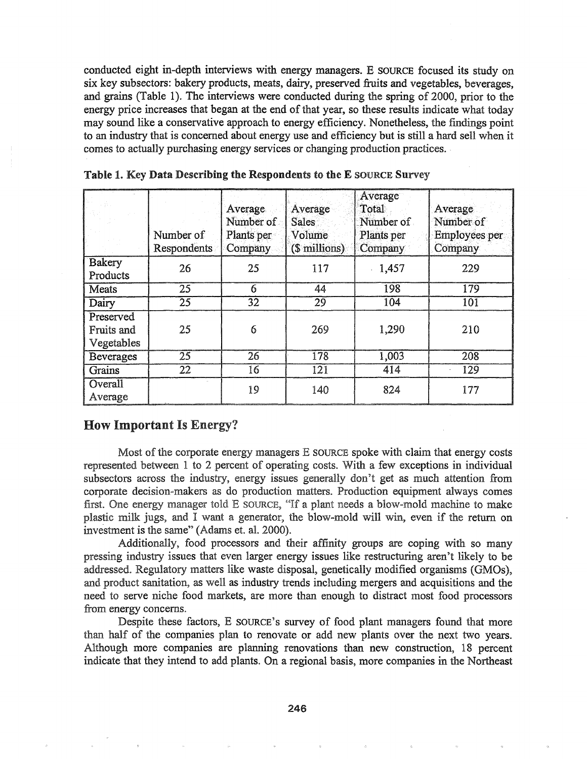conducted eight in-depth interviews with energy managers. E SOURCE focused its study on six key subsectors: bakery products, meats, dairy, preserved fruits and vegetables, beverages, and grains (Table 1). The interviews were conducted during the spring of 2000, prior to the energy price increases that began at the end of that year, so these results indicate what today may sound like a conservative approach to energy efficiency. Nonetheless, the findings point to an industry that is concerned about energy use and efficiency but is still a hard sell when it comes to actually purchasing energy services or changing production practices..

|                                       | Number of<br>Respondents | Average<br>Number of<br>Plants per<br>Company | Average<br><b>Sales</b><br>Volume<br>(\$ millions) | Average<br>Total<br>Number of<br>Plants per<br>Company | Average<br>Number of<br>Employees per<br>Company |
|---------------------------------------|--------------------------|-----------------------------------------------|----------------------------------------------------|--------------------------------------------------------|--------------------------------------------------|
| Bakery<br>Products                    | 26                       | 25                                            | 117<br>$-1,457$                                    |                                                        | 229                                              |
| Meats                                 | 25                       | 6                                             | 44                                                 | 198                                                    | 179                                              |
| Dairy                                 | $\overline{25}$          | $\overline{32}$                               | $2\overline{9}$                                    | 104                                                    | 101                                              |
| Preserved<br>Fruits and<br>Vegetables | 25                       | 6                                             | 269                                                | 1,290                                                  | 210                                              |
| Beverages                             | 25                       | $\overline{26}$                               | $\overline{178}$                                   | 1,003                                                  | 208                                              |
| Grains                                | 22                       | 16                                            | 121                                                | 414                                                    | 129                                              |
| Overall<br>Average                    |                          | 19                                            | 140                                                | 824                                                    | 177                                              |

|  |  |  |  |  | Table 1. Key Data Describing the Respondents to the E SOURCE Survey |  |  |  |  |  |
|--|--|--|--|--|---------------------------------------------------------------------|--|--|--|--|--|
|--|--|--|--|--|---------------------------------------------------------------------|--|--|--|--|--|

# How Important Is Energy?

Most the corporate energy managers E SOURCE spoke with claim that energy costs represented between 1 to 2 percent of operating costs. With a few exceptions in individual subsectors across the industry, energy issues generally don't get as much attention from corporate decision-makers as do production matters. Production equipment always comes first. One energy manager told E SOURCE, "If a plant needs a blow-mold machine to make plastic milk jugs, and I want a generator, the blow-mold will win, even if the return on investment is the same" (Adams et. al. 2000).

Additionally, food processors and their affinity groups are coping with so many pressing industry issues that even larger energy issues like restructuring aren't likely to be addressed. Regulatory matters like waste disposal, genetically modified organisms (GMOs), and product sanitation, as well as industry trends including mergers and acquisitions and the need to serve niche food markets, are more than enough to distract most food processors from energy concerns.

Despite these factors, E SOURCE'S survey of food plant managers found that more half of the companies plan to renovate or add new plants over the next two years. Although more companies are planning renovations than new construction, 18 percent indicate that they intend to add plants. On a regional basis, more companies in the Northeast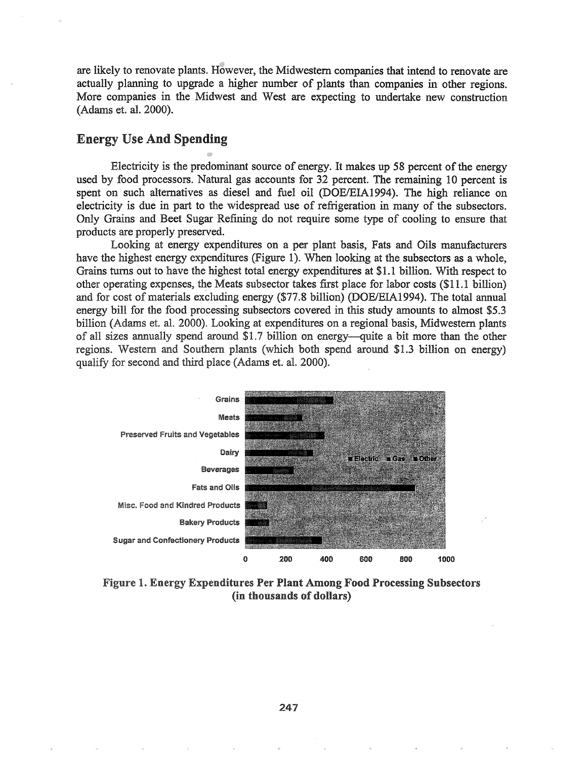are likely to renovate plants. However, the Midwestern companies that intend to renovate are actually planning to upgrade a higher number of plants than companies in other regions. More companies in the Midwest and West are expecting to undertake new construction (Adams et. aL 2000).

# Energy Use And Spending

Electricity is the predominant source of energy. It makes up 58 percent of the energy used by food processors. Natural gas accounts for 32 percent. The remaining 10 percent is spent on such alternatives as diesel and fuel oil (DOE/EIA1994). The high reliance on electricity is due in part to the widespread use of refrigeration in many of the subsectors. Only Grains and Beet Sugar Refining do not require some type of cooling to ensure that products are properly preserved.

Looking at energy expenditures on a per plant basis, Fats and Oils manufacturers have the highest energy expenditures (Figure 1). When looking at the subsectors as a whole, Grains turns out to have the highest total energy expenditures at \$1.1 billion. With respect to other operating expenses, the Meats subsector takes first place for labor costs (\$11.1 billion) and for cost of materials excluding energy (\$77.8 billion) (DOE/EIA1994). The total annual energy bill for the food processing subsectors covered in this study amounts to almost \$5.3 billion (Adams et. al. 2000). Looking at expenditures on a regional basis, Midwestern plants of all sizes annually spend around \$1.7 billion on energy—quite a bit more than the other regions. Western and Southern plants (which both spend around \$1.3 billion on energy) qualify for second and third place (Adams et. al. 2000).



Figure 1. Energy Expenditures Per Plant Among Food Processing Subsectors (in thousands of dollars)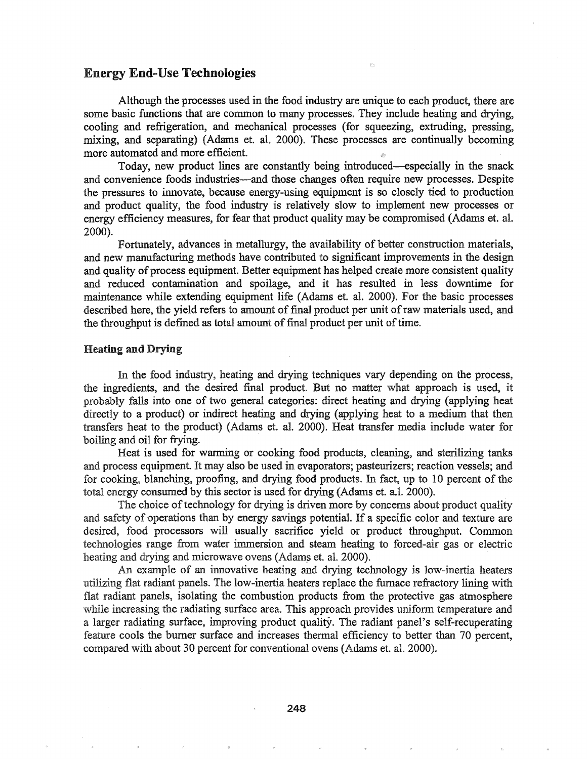# Energy End-Use Technologies

Although the processes used in the food industry are unique to each product, there are some basic functions that are common to many processes. They include heating and drying, cooling and refrigeration, and mechanical processes (for squeezing, extruding, pressing, mixing, and separating) (Adams et. al. 2000). These processes are continually becoming more automated and more efficient.

 $\bar{\psi}$ 

Today, new product lines are constantly being introduced-especially in the snack and convenience foods industries—and those changes often require new processes. Despite the pressures to innovate, because energy-using equipment is so closely tied to production and product quality, the food industry is relatively slow to implement new processes or energy efficiency measures, for fear that product quality may be compromised (Adams et. al. 2000).

Fortunately, advances in metallurgy, the availability of better construction materials, and new manufacturing methods have contributed to significant improvements in the design and quality of process equipment. Better equipment has helped create more consistent quality and reduced contamination and spoilage, and it has resulted in less downtime for maintenance while extending equipment life (Adams et. al. 2000). For the basic processes described here, the yield refers to amount of final product per unit of raw materials used, and the throughput is defined as total amount of final product per unit of time.

#### **Heating and Drying**

In the food industry, heating and drying techniques vary depending on the process, the ingredients, and the desired final product. But no matter what approach is used, it probably falls into one of two general categories: direct heating and drying (applying heat directly to a product) or indirect heating and drying (applying heat to a medium that then transfers heat to the product) (Adams et. al. 2000). Heat transfer media include water for boiling and oil for frying..

Heat is used for wanning or cooking food products, cleaning, and sterilizing tanks and process equipment. It may also be used in evaporators; pasteurizers; reaction vessels; and for cooking, blanching, proofing, and drying food products. In fact, up to 10 percent of the total energy consumed by this sector is used for drying (Adams et. a.l. 2000).

The choice of technology for drying is driven more by concerns about product quality and safety of operations than by energy savings potential. If a specific color and texture are desired, food processors will usually sacrifice yield or product throughput. Common technologies range from water immersion and steam heating to forced-air gas or electric heating and drying and microwave ovens (Adams et. al. 2000).

An example of an innovative heating and drying technology is low-inertia heaters utilizing flat radiant panels. The low-inertia heaters replace the furnace refractory lining with flat radiant panels, isolating the combustion products from the protective gas atmosphere while increasing the radiating surface area. This approach provides uniform temperature and a larger radiating surface, improving product quality. The radiant panel's self-recuperating feature cools the burner surface and increases thermal efficiency to better than 70 percent, compared with about 30 percent for conventional ovens (Adams et. al. 2000).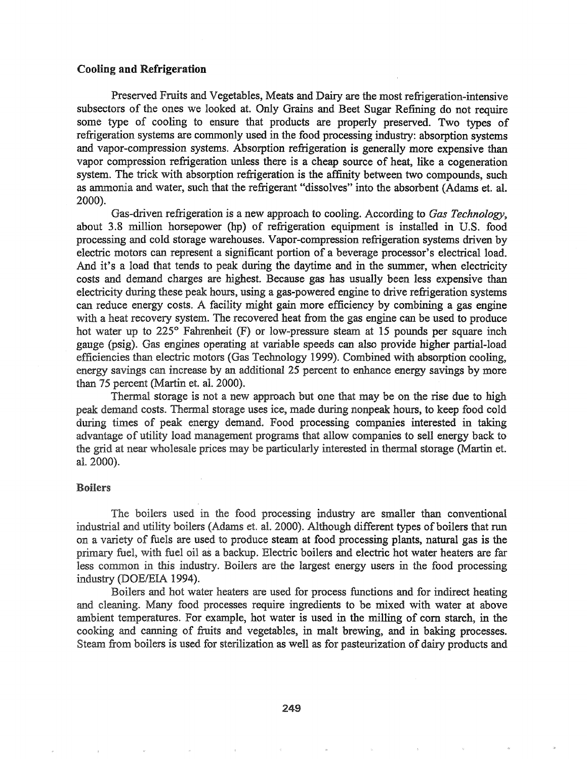### Cooling and Refrigeration

Preserved Fruits and Vegetables, Meats and Dairy are the most refrigeration-intensive subsectors of the ones we looked at. Only Grains and Beet Sugar Refining do not require some type of cooling to ensure that products are properly preserved. Two types of refrigeration systems are commonly used in the food processing industry: absorption systems and vapor-compression systems. Absorption refrigeration is generally more expensive than vapor compression refrigeration unless there is a cheap source of heat, like a cogeneration system. The trick with absorption refrigeration is the affinity between two compounds, such as ammonia and water, such that the refrigerant "dissolves" into the absorbent (Adams et. al. 2000).

Gas-driven refrigeration is a new approach to cooling. According to *Gas Technology,* about 3.8 million horsepower (hp) of refrigeration equipment is installed in U.S. food processing and cold storage warehouses. Vapor-compression refrigeration systems driven by electric motors can represent a significant portion of a beverage processor's electrical load. And it's a load that tends to peak during the daytime and in the summer, when electricity costs and demand charges are highest. Because gas has usually been less expensive than electricity during these peak hours, using a gas-powered engine to drive refrigeration systems can reduce energy costs. A facility might gain more efficiency by combining a gas engine with a heat recovery system. The recovered heat from the gas engine can be used to produce hot water up to 225° Fahrenheit (F) or low-pressure steam at 15 pounds per square inch gauge (psig). Gas engines operating at variable speeds can also provide higher partial-load efficiencies than electric motors (Gas Technology 1999). Combined with absorption cooling, energy savings can increase by an additional 25 percent to enhance energy savings by more than 75 percent (Martin et. al. 2000).

Thermal storage is not a new approach but one that may be on the rise due to high peak demand costs. Thermal storage uses ice, made during nonpeak hours, to keep food cold during times of peak energy demand. Food processing companies interested in taking advantage of utility load management programs that allow companies to sell energy back to the grid at near wholesale prices may be particularly interested in thermal storage (Martin et. al. 2000).

#### **Boilers**

The boilers used in the food processing industry are smaller than conventional industrial and utility boilers (Adams et. al. 2000). Although different types of boilers that run on a variety of fuels are used to produce steam at food processing plants, natural gas is the primary fuel, with fuel oil as a backup. Electric boilers and electric hot water heaters are far less common in this industry. Boilers are the largest energy users in the food processing industry (DOE/EIA 1994)..

Boilers and hot water heaters are used for process functions and for indirect heating and cleaning. Many food processes require ingredients to be mixed with water at above ambient temperatures. For example, hot water is used in the milling of corn starch, in the cooking and canning of fruits and vegetables, in malt brewing, and in baking processes. Steam from boilers is used for sterilization as well as for pasteurization of dairy products and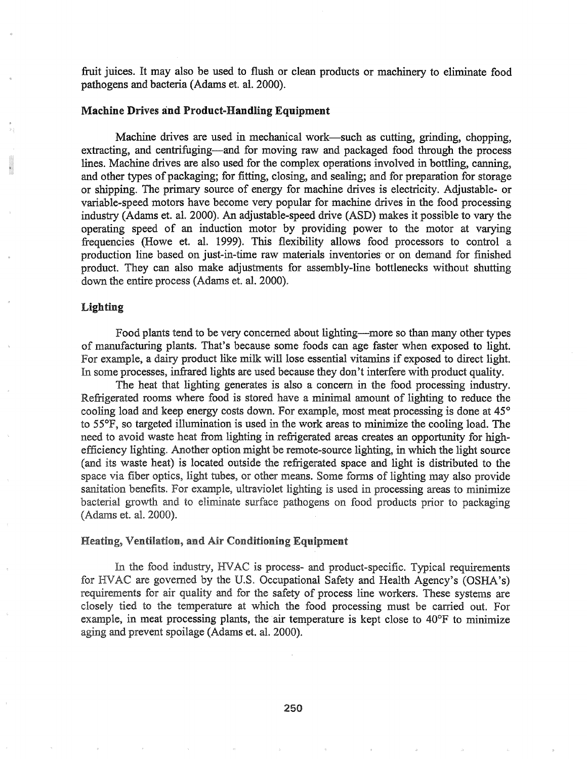fruit juices. It may also be used to flush or clean products or machinery to eliminate food pathogens and bacteria (Adams et. al. 2000).

## Machine Drives and Product-Handling Equipment

Machine drives are used in mechanical work—such as cutting, grinding, chopping, extracting, and centrifuging—and for moving raw and packaged food through the process lines. Machine drives are also used for the complex operations involved in bottling, canning, and other types of packaging; for fitting, closing, and sealing; and for preparation for storage or shipping. The primary source of energy for machine drives is electricity. Adjustable- or variable-speed motors have become very popular for machine drives in the food processing industry (Adams et. al. 2000). An adjustable-speed drive (ASD) makes it possible to vary the operating speed of an induction motor by providing power to the motor at varying frequencies (Howe et. al. 1999). This flexibility allows food processors to control a production line based on just-in-time raw materials inventories" or on demand for finished product. They can also make adjustments for assembly-line bottlenecks without shutting down the entire process (Adams et. al. 2000).

### Lighting

Food plants tend to be very concerned about lighting—more so than many other types of manufacturing plants. That's because some foods can age faster when exposed to light. For example, a dairy product like milk will lose essential vitamins if exposed to direct light. In some processes, infrared lights are used because they don't interfere with product quality.

The heat that lighting generates is also a concern in the food processing industry. Refrigerated rooms where food is stored have a minimal amount of lighting to reduce the cooling load and keep energy costs down. For example, most meat processing is done at 45° to 55°F, so targeted illumination is used in the work areas to minimize the cooling load. The need to avoid waste heat from lighting in refrigerated areas creates an opportunity for highefficiency lighting. Another option might be remote-source lighting, in which the light source (and its waste heat) is located outside the refrigerated space and light is distributed to the space via fiber optics, light tubes, or other means. Some forms of lighting may also provide sanitation benefits. For example, ultraviolet lighting is used in processing areas to minimize bacterial growth and to eliminate surface pathogens on food products prior to packaging (Adams et. al. 2000).

#### Heating, Ventilation, and Air Conditioning Equipment

In the food industry, HVAC is process- and product-specific. Typical requirements for HVAC are governed by the U.S. Occupational Safety and Health Agency's (OSHA's) requirements for air quality and for the safety of process line workers. These systems are closely tied to the temperature at which the food processing must be carried out. For example, in meat processing plants, the air temperature is kept close to  $40^{\circ}$ F to minimize aging and prevent spoilage (Adams et. al. 2000).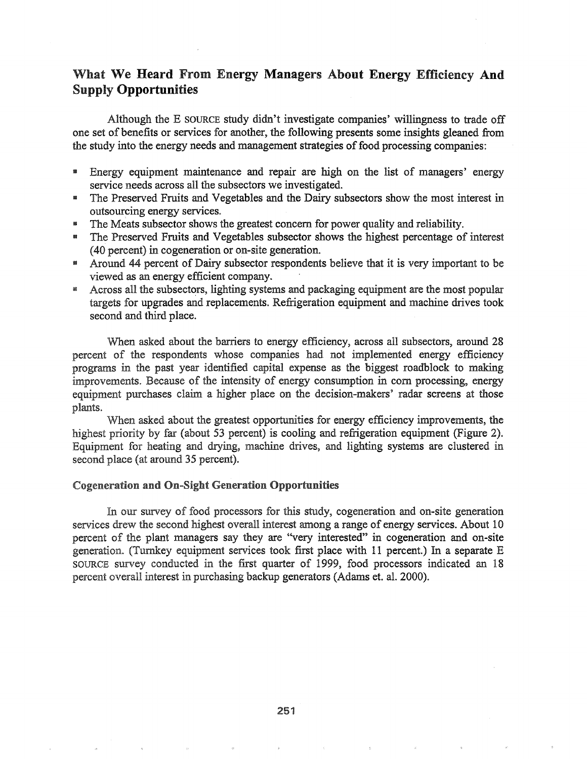# What We Heard From Energy Managers About Energy Efficiency And Supply Opportunities

Although the E SOURCE study didn't investigate companies' willingness to trade off one set of benefits or services for another, the following presents some insights gleaned from the study into the energy needs and management strategies of food processing companies:

- **Energy equipment maintenance and repair are high on the list of managers' energy** service needs across all the subsectors we investigated.
- The Preserved Fruits and Vegetables and the Dairy subsectors show the most interest in outsourcing energy services..
- III The Meats subsector shows the greatest concern for power quality and reliability.
- **III.** The Preserved Fruits and Vegetables subsector shows the highest percentage of interest  $(40$  percent) in cogeneration or on-site generation.
- **III** Around 44 percent of Dairy subsector respondents believe that it is very important to be viewed as an energy efficient company.
- <sup>■</sup> Across all the subsectors, lighting systems and packaging equipment are the most popular targets for upgrades and replacements. Refrigeration equipment and machine drives took second and third place.

When asked about the barriers to energy efficiency, across all subsectors, around 28 percent of the respondents whose companies had not implemented energy efficiency programs the past year identified capital expense as the biggest roadblock to making improvements. Because of the intensity of energy consumption in corn processing, energy equipment purchases claim a higher place on the decision-makers' radar screens at those plants.

When asked about the greatest opportunities for energy efficiency improvements, the highest priority by far (about 53 percent) is cooling and refrigeration equipment (Figure 2). Equipment for heating and drying, machine drives, and lighting systems are clustered in second place (at around 35 percent).

### **Cogeneration and On-Sight Generation Opportunities**

services drew the second highest overall interest among a range of energy services. About 10 percent of the plant managers say they are "very interested" in cogeneration and on-site SOURCE survey conducted in the first quarter of 1999, food processors indicated an 18 In our survey of food processors for this study, cogeneration and on-site generation generation. (Turnkey equipment services took first place with 11 percent.) In a separate E percent overall interest in purchasing backup generators (Adams et. al. 2000).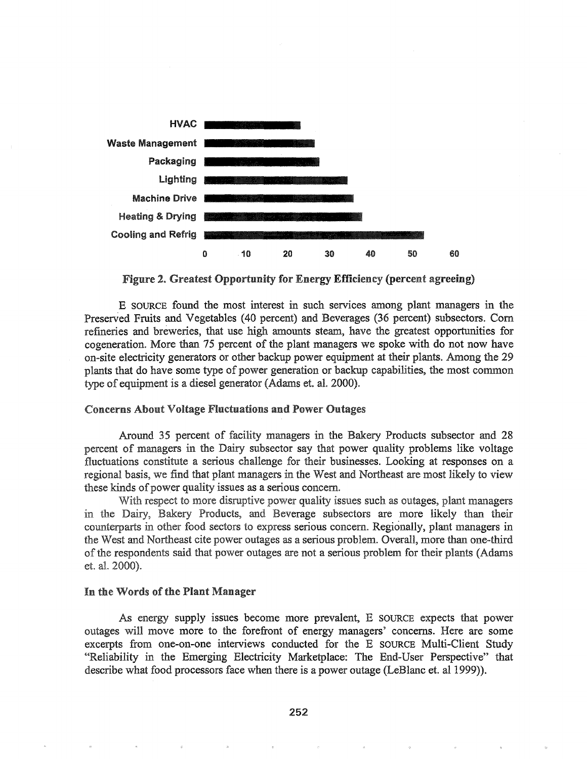

Figure 2. Greatest Opportunity for Energy Efficiency (percent agreeing)

E SOURCE found the most interest in such services among plant managers in the Preserved Fruits and Vegetables (40 percent) and Beverages (36 percent) subsectors. Corn refineries and breweries, that use high amounts steam, have the greatest opportunities for cogeneration. More than 75 percent of the plant managers we spoke with do not now have on-site electricity generators or other backup power equipment at their plants. Among the 29 plants that do have some type of power generation or backup capabilities, the most common type of equipment is a diesel generator (Adams et. al. 2000).

### Concerns About Voltage Fluctuations and Power Outages

Around 35 percent of facility managers in the Bakery Products subsector and 28 percent of managers in the Dairy subsector say that power quality problems like voltage fluctuations constitute a serious challenge for their businesses. Looking at responses on a regional basis, we find that plant managers in the West and Northeast are most likely to view these kinds of power quality issues as a serious concern.

respect to more disruptive power quality issues such as outages, plant managers in the Dairy, Bakery Products, and Beverage subsectors are more likely than their counterparts in other food sectors to express serious concern. Regionally, plant managers in the West and Northeast cite power outages as a serious problem. Overall, more than one-third of the respondents said that power outages are not a serious problem for their plants (Adams et. al. 2000).

#### In the Words of the Plant Manager

As energy supply issues become more prevalent, E SOURCE expects that power outages will move more to the forefront of energy managers' concerns.. Here are some excerpts from one-on-one interviews conducted for the E SOURCE Multi-Client Study "Reliability in the Emerging Electricity Marketplace: The End-User Perspective" that describe what food processors face when there is a power outage (LeBlanc et. al 1999)).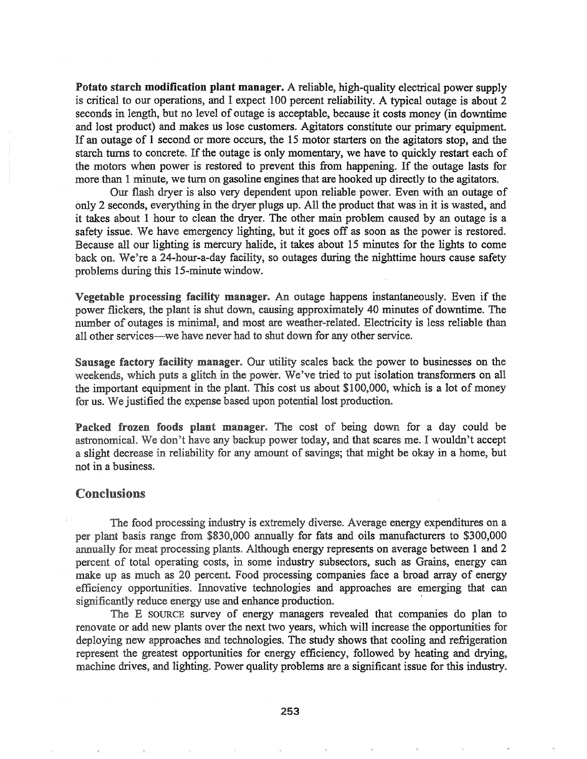Potato starch modification plant manager. A reliable, high-quality electrical power supply is critical to our operations, and I expect 100 percent reliability. A typical outage is about 2 seconds in length, but no level of outage is acceptable, because it costs money (in downtime and lost product) and makes us lose customers. Agitators constitute our primary equipment. If an outage of 1 second or more occurs, the 15 motor starters on the agitators stop, and the starch turns to concrete. If the outage is only momentary, we have to quickly restart each of the motors when power is restored to prevent this from happening. If the outage lasts for more than 1 minute, we turn on gasoline engines that are hooked up directly to the agitators.

Our flash dryer is also very dependent upon reliable power. Even with an outage of only 2 seconds, everything in the dryer plugs up. All the product that was in it is wasted, and it takes about 1 hour to clean the dryer. The other main problem caused by an outage is a safety issue. We have emergency lighting, but it goes off as soon as the power is restored. Because all our lighting is mercury halide, it takes about 15 minutes for the lights to come back on. We're a 24-hour-a-day facility, so outages during the nighttime hours cause safety problems during this I5-minute window.

Vegetable processing facility manager~ An outage happens instantaneously.. Even if the power flickers, the plant is shut down, causing approximately 40 minutes of downtime.. The number of outages is minimal, and most are weather-related. Electricity is less reliable than all other services—we have never had to shut down for any other service.

Sausage factory facility manager. Our utility scales back the power to businesses on the weekends, which puts a glitch in the power. We've tried to put isolation transformers on all the important equipment in the plant. This cost us about  $$100,000$ , which is a lot of money for us. We justified the expense based upon potential lost production.

Packed frozen foods plant manager. The cost of being down for a day could be astronomical. We don't have any backup power today, and that scares me. I wouldn't accept a slight decrease in reliability for any amount of savings; that might be okay in a home, but not in a business.

### Conclusions

The food processing industry is extremely diverse. Average energy expenditures on a per plant basis range from \$830,000 annually for fats and oils manufacturers to \$300,000 annually for meat processing plants. Although energy represents on average between 1 and 2 percent of total operating costs, in some industry subsectors, such as Grains, energy can make up as much as 20 percent. Food processing companies face a broad array of energy efficiency opportunities. Innovative technologies and approaches are emerging that can significantly reduce energy use and enhance production.

E SOURCE survey of energy managers revealed that companies do plan to renovate or add new plants over the next two years, which will increase the opportunities for deploying new approaches and technologies. The study shows that cooling and refrigeration represent the greatest opportunities for energy efficiency, followed by heating and drying, machine drives, and lighting. Power quality problems are a significant issue for this industry.